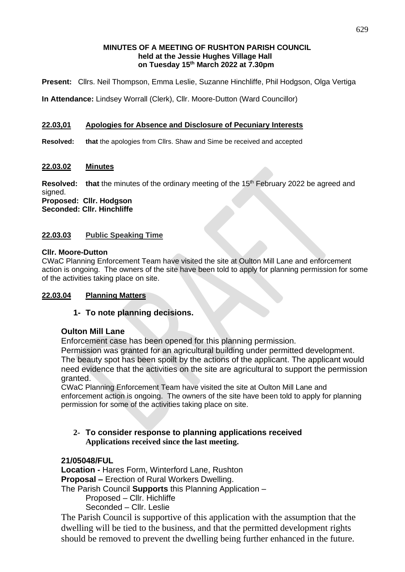#### **MINUTES OF A MEETING OF RUSHTON PARISH COUNCIL held at the Jessie Hughes Village Hall on Tuesday 15 th March 2022 at 7.30pm**

**Present:** Cllrs. Neil Thompson, Emma Leslie, Suzanne Hinchliffe, Phil Hodgson, Olga Vertiga

**In Attendance:** Lindsey Worrall (Clerk), Cllr. Moore-Dutton (Ward Councillor)

### **22.03,01 Apologies for Absence and Disclosure of Pecuniary Interests**

**Resolved: that** the apologies from Cllrs. Shaw and Sime be received and accepted

#### **22.03.02 Minutes**

**Resolved:** that the minutes of the ordinary meeting of the 15<sup>th</sup> February 2022 be agreed and signed. **Proposed: Cllr. Hodgson**

**Seconded: Cllr. Hinchliffe**

#### **22.03.03 Public Speaking Time**

#### **Cllr. Moore-Dutton**

CWaC Planning Enforcement Team have visited the site at Oulton Mill Lane and enforcement action is ongoing. The owners of the site have been told to apply for planning permission for some of the activities taking place on site.

#### **22.03.04 Planning Matters**

#### **1- To note planning decisions.**

#### **Oulton Mill Lane**

Enforcement case has been opened for this planning permission.

Permission was granted for an agricultural building under permitted development. The beauty spot has been spoilt by the actions of the applicant. The applicant would need evidence that the activities on the site are agricultural to support the permission granted.

CWaC Planning Enforcement Team have visited the site at Oulton Mill Lane and enforcement action is ongoing. The owners of the site have been told to apply for planning permission for some of the activities taking place on site.

**2- To consider response to planning applications received Applications received since the last meeting.**

# **21/05048/FUL**

**Location -** Hares Form, Winterford Lane, Rushton **Proposal –** Erection of Rural Workers Dwelling.

The Parish Council **Supports** this Planning Application –

Proposed – Cllr. Hichliffe

Seconded – Cllr. Leslie

The Parish Council is supportive of this application with the assumption that the dwelling will be tied to the business, and that the permitted development rights should be removed to prevent the dwelling being further enhanced in the future.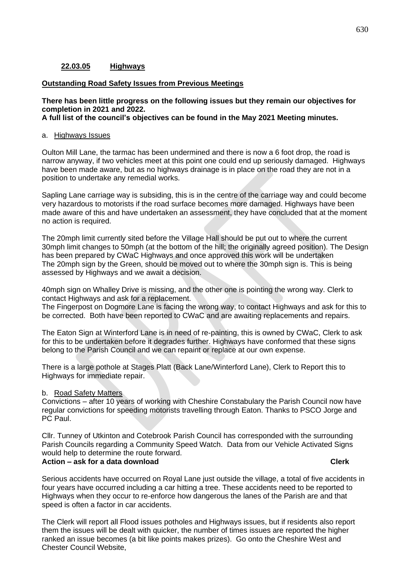### **22.03.05 Highways**

#### **Outstanding Road Safety Issues from Previous Meetings**

### **There has been little progress on the following issues but they remain our objectives for completion in 2021 and 2022.**

**A full list of the council's objectives can be found in the May 2021 Meeting minutes.**

#### a. Highways Issues

Oulton Mill Lane, the tarmac has been undermined and there is now a 6 foot drop, the road is narrow anyway, if two vehicles meet at this point one could end up seriously damaged. Highways have been made aware, but as no highways drainage is in place on the road they are not in a position to undertake any remedial works.

Sapling Lane carriage way is subsiding, this is in the centre of the carriage way and could become very hazardous to motorists if the road surface becomes more damaged. Highways have been made aware of this and have undertaken an assessment, they have concluded that at the moment no action is required.

The 20mph limit currently sited before the Village Hall should be put out to where the current 30mph limit changes to 50mph (at the bottom of the hill; the originally agreed position). The Design has been prepared by CWaC Highways and once approved this work will be undertaken The 20mph sign by the Green, should be moved out to where the 30mph sign is. This is being assessed by Highways and we await a decision.

40mph sign on Whalley Drive is missing, and the other one is pointing the wrong way. Clerk to contact Highways and ask for a replacement.

The Fingerpost on Dogmore Lane is facing the wrong way, to contact Highways and ask for this to be corrected. Both have been reported to CWaC and are awaiting replacements and repairs.

The Eaton Sign at Winterford Lane is in need of re-painting, this is owned by CWaC, Clerk to ask for this to be undertaken before it degrades further. Highways have conformed that these signs belong to the Parish Council and we can repaint or replace at our own expense.

There is a large pothole at Stages Platt (Back Lane/Winterford Lane), Clerk to Report this to Highways for immediate repair.

#### b. Road Safety Matters

Convictions – after 10 years of working with Cheshire Constabulary the Parish Council now have regular convictions for speeding motorists travelling through Eaton. Thanks to PSCO Jorge and PC Paul.

Cllr. Tunney of Utkinton and Cotebrook Parish Council has corresponded with the surrounding Parish Councils regarding a Community Speed Watch. Data from our Vehicle Activated Signs would help to determine the route forward. **Action – ask for a data download Clerk**

Serious accidents have occurred on Royal Lane just outside the village, a total of five accidents in four years have occurred including a car hitting a tree. These accidents need to be reported to Highways when they occur to re-enforce how dangerous the lanes of the Parish are and that speed is often a factor in car accidents.

The Clerk will report all Flood issues potholes and Highways issues, but if residents also report them the issues will be dealt with quicker, the number of times issues are reported the higher ranked an issue becomes (a bit like points makes prizes). Go onto the Cheshire West and Chester Council Website,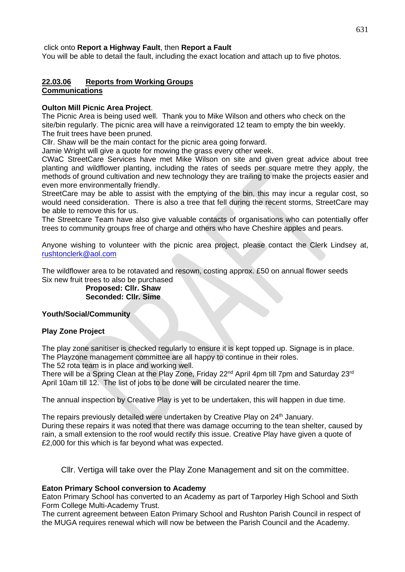click onto **Report a Highway Fault**, then **Report a Fault**

You will be able to detail the fault, including the exact location and attach up to five photos.

# **22.03.06 Reports from Working Groups**

# **Communications**

#### **Oulton Mill Picnic Area Project**.

The Picnic Area is being used well. Thank you to Mike Wilson and others who check on the site/bin regularly. The picnic area will have a reinvigorated 12 team to empty the bin weekly. The fruit trees have been pruned.

Cllr. Shaw will be the main contact for the picnic area going forward.

Jamie Wright will give a quote for mowing the grass every other week.

CWaC StreetCare Services have met Mike Wilson on site and given great advice about tree planting and wildflower planting, including the rates of seeds per square metre they apply, the methods of ground cultivation and new technology they are trailing to make the projects easier and even more environmentally friendly.

StreetCare may be able to assist with the emptying of the bin, this may incur a regular cost, so would need consideration. There is also a tree that fell during the recent storms, StreetCare may be able to remove this for us.

The Streetcare Team have also give valuable contacts of organisations who can potentially offer trees to community groups free of charge and others who have Cheshire apples and pears.

Anyone wishing to volunteer with the picnic area project, please contact the Clerk Lindsey at, [rushtonclerk@aol.com](mailto:rushtonclerk@aol.com)

The wildflower area to be rotavated and resown, costing approx. £50 on annual flower seeds Six new fruit trees to also be purchased

> **Proposed: Cllr. Shaw Seconded: Cllr. Sime**

#### **Youth/Social/Community**

#### **Play Zone Project**

The play zone sanitiser is checked regularly to ensure it is kept topped up. Signage is in place. The Playzone management committee are all happy to continue in their roles. The 52 rota team is in place and working well.

There will be a Spring Clean at the Play Zone, Friday 22<sup>nd</sup> April 4pm till 7pm and Saturday 23<sup>rd</sup> April 10am till 12. The list of jobs to be done will be circulated nearer the time.

The annual inspection by Creative Play is yet to be undertaken, this will happen in due time.

The repairs previously detailed were undertaken by Creative Play on 24<sup>th</sup> January. During these repairs it was noted that there was damage occurring to the tean shelter, caused by rain, a small extension to the roof would rectify this issue. Creative Play have given a quote of £2,000 for this which is far beyond what was expected.

Cllr. Vertiga will take over the Play Zone Management and sit on the committee.

#### **Eaton Primary School conversion to Academy**

Eaton Primary School has converted to an Academy as part of Tarporley High School and Sixth Form College Multi-Academy Trust.

The current agreement between Eaton Primary School and Rushton Parish Council in respect of the MUGA requires renewal which will now be between the Parish Council and the Academy.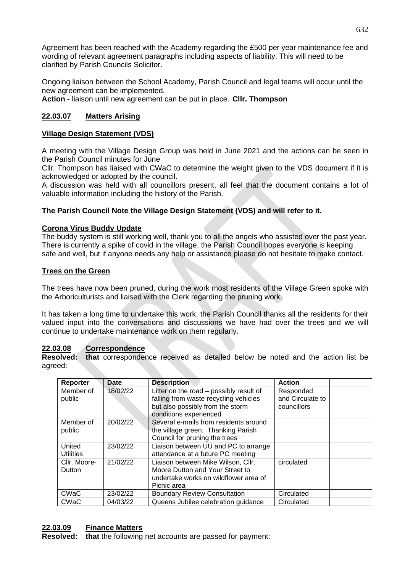Agreement has been reached with the Academy regarding the £500 per year maintenance fee and wording of relevant agreement paragraphs including aspects of liability. This will need to be clarified by Parish Councils Solicitor.

Ongoing liaison between the School Academy, Parish Council and legal teams will occur until the new agreement can be implemented.

**Action -** liaison until new agreement can be put in place. **Cllr. Thompson**

## **22.03.07 Matters Arising**

#### **Village Design Statement (VDS)**

A meeting with the Village Design Group was held in June 2021 and the actions can be seen in the Parish Council minutes for June

Cllr. Thompson has liaised with CWaC to determine the weight given to the VDS document if it is acknowledged or adopted by the council.

A discussion was held with all councillors present, all feel that the document contains a lot of valuable information including the history of the Parish.

### **The Parish Council Note the Village Design Statement (VDS) and will refer to it.**

#### **Corona Virus Buddy Update**

The buddy system is still working well, thank you to all the angels who assisted over the past year. There is currently a spike of covid in the village, the Parish Council hopes everyone is keeping safe and well, but if anyone needs any help or assistance please do not hesitate to make contact.

#### **Trees on the Green**

The trees have now been pruned, during the work most residents of the Village Green spoke with the Arboriculturists and liaised with the Clerk regarding the pruning work.

It has taken a long time to undertake this work, the Parish Council thanks all the residents for their valued input into the conversations and discussions we have had over the trees and we will continue to undertake maintenance work on them regularly.

#### **22.03.08 Correspondence**

**Resolved: that** correspondence received as detailed below be noted and the action list be agreed:

| Reporter         | Date     | <b>Description</b>                                         | <b>Action</b>    |
|------------------|----------|------------------------------------------------------------|------------------|
| Member of        | 18/02/22 | Litter on the road – possibly result of                    | Responded        |
| public           |          | falling from waste recycling vehicles                      | and Circulate to |
|                  |          | but also possibly from the storm<br>conditions experienced | councillors      |
| Member of        | 20/02/22 | Several e-mails from residents around                      |                  |
| public           |          | the village green. Thanking Parish                         |                  |
|                  |          | Council for pruning the trees                              |                  |
| United           | 23/02/22 | Liaison between UU and PC to arrange                       |                  |
| <b>Utilities</b> |          | attendance at a future PC meeting                          |                  |
| Cllr. Moore-     | 21/02/22 | Liaison between Mike Wilson, Cllr.                         | circulated       |
| Dutton           |          | Moore Dutton and Your Street to                            |                  |
|                  |          | undertake works on wildflower area of                      |                  |
|                  |          | Picnic area                                                |                  |
| <b>CWaC</b>      | 23/02/22 | <b>Boundary Review Consultation</b>                        | Circulated       |
| CWaC             | 04/03/22 | Queens Jubilee celebration guidance                        | Circulated       |

# **22.03.09 Finance Matters**

**Resolved: that** the following net accounts are passed for payment: